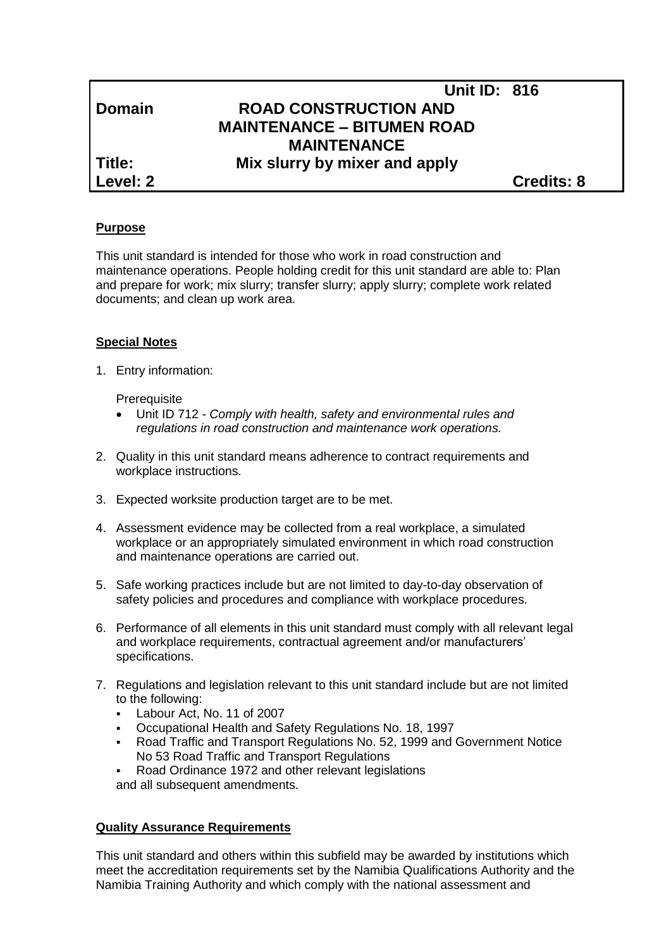|               | <b>Unit ID: 816</b>               |                   |
|---------------|-----------------------------------|-------------------|
| <b>Domain</b> | <b>ROAD CONSTRUCTION AND</b>      |                   |
|               | <b>MAINTENANCE - BITUMEN ROAD</b> |                   |
|               | <b>MAINTENANCE</b>                |                   |
| Title:        | Mix slurry by mixer and apply     |                   |
| Level: 2      |                                   | <b>Credits: 8</b> |
|               |                                   |                   |

#### **Purpose**

This unit standard is intended for those who work in road construction and maintenance operations. People holding credit for this unit standard are able to: Plan and prepare for work; mix slurry; transfer slurry; apply slurry; complete work related documents; and clean up work area.

#### **Special Notes**

1. Entry information:

**Prerequisite** 

- Unit ID 712 *- Comply with health, safety and environmental rules and regulations in road construction and maintenance work operations.*
- 2. Quality in this unit standard means adherence to contract requirements and workplace instructions.
- 3. Expected worksite production target are to be met.
- 4. Assessment evidence may be collected from a real workplace, a simulated workplace or an appropriately simulated environment in which road construction and maintenance operations are carried out.
- 5. Safe working practices include but are not limited to day-to-day observation of safety policies and procedures and compliance with workplace procedures.
- 6. Performance of all elements in this unit standard must comply with all relevant legal and workplace requirements, contractual agreement and/or manufacturers' specifications.
- 7. Regulations and legislation relevant to this unit standard include but are not limited to the following:
	- Labour Act, No. 11 of 2007
	- Occupational Health and Safety Regulations No. 18, 1997
	- Road Traffic and Transport Regulations No. 52, 1999 and Government Notice No 53 Road Traffic and Transport Regulations
	- Road Ordinance 1972 and other relevant legislations
	- and all subsequent amendments.

#### **Quality Assurance Requirements**

This unit standard and others within this subfield may be awarded by institutions which meet the accreditation requirements set by the Namibia Qualifications Authority and the Namibia Training Authority and which comply with the national assessment and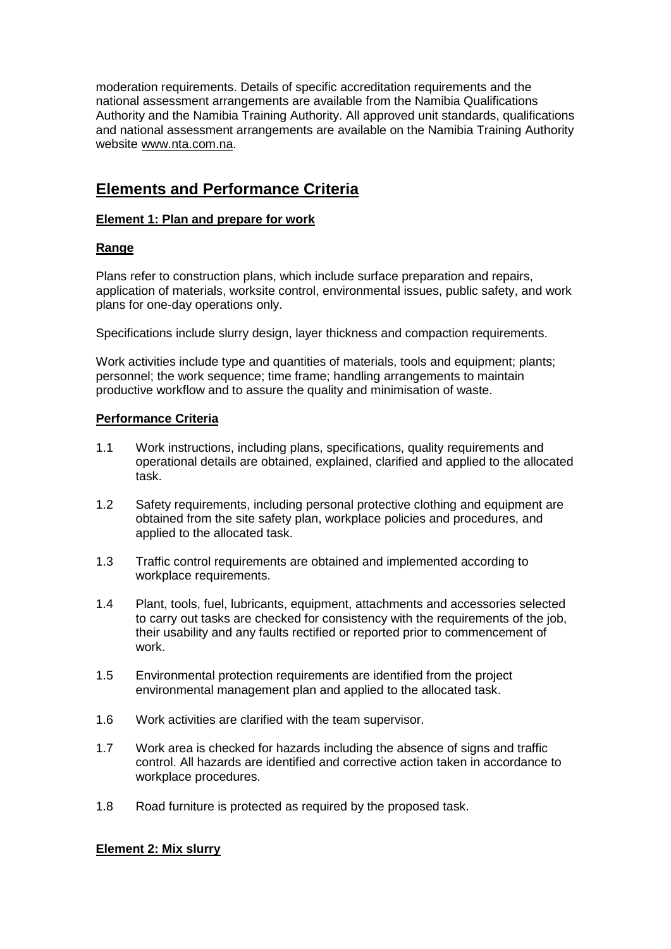moderation requirements. Details of specific accreditation requirements and the national assessment arrangements are available from the Namibia Qualifications Authority and the Namibia Training Authority. All approved unit standards, qualifications and national assessment arrangements are available on the Namibia Training Authority website [www.nta.com.na.](http://www.nta.com.na/)

# **Elements and Performance Criteria**

### **Element 1: Plan and prepare for work**

## **Range**

Plans refer to construction plans, which include surface preparation and repairs, application of materials, worksite control, environmental issues, public safety, and work plans for one-day operations only.

Specifications include slurry design, layer thickness and compaction requirements.

Work activities include type and quantities of materials, tools and equipment; plants; personnel; the work sequence; time frame; handling arrangements to maintain productive workflow and to assure the quality and minimisation of waste.

### **Performance Criteria**

- 1.1 Work instructions, including plans, specifications, quality requirements and operational details are obtained, explained, clarified and applied to the allocated task.
- 1.2 Safety requirements, including personal protective clothing and equipment are obtained from the site safety plan, workplace policies and procedures, and applied to the allocated task.
- 1.3 Traffic control requirements are obtained and implemented according to workplace requirements.
- 1.4 Plant, tools, fuel, lubricants, equipment, attachments and accessories selected to carry out tasks are checked for consistency with the requirements of the job, their usability and any faults rectified or reported prior to commencement of work.
- 1.5 Environmental protection requirements are identified from the project environmental management plan and applied to the allocated task.
- 1.6 Work activities are clarified with the team supervisor.
- 1.7 Work area is checked for hazards including the absence of signs and traffic control. All hazards are identified and corrective action taken in accordance to workplace procedures.
- 1.8 Road furniture is protected as required by the proposed task.

## **Element 2: Mix slurry**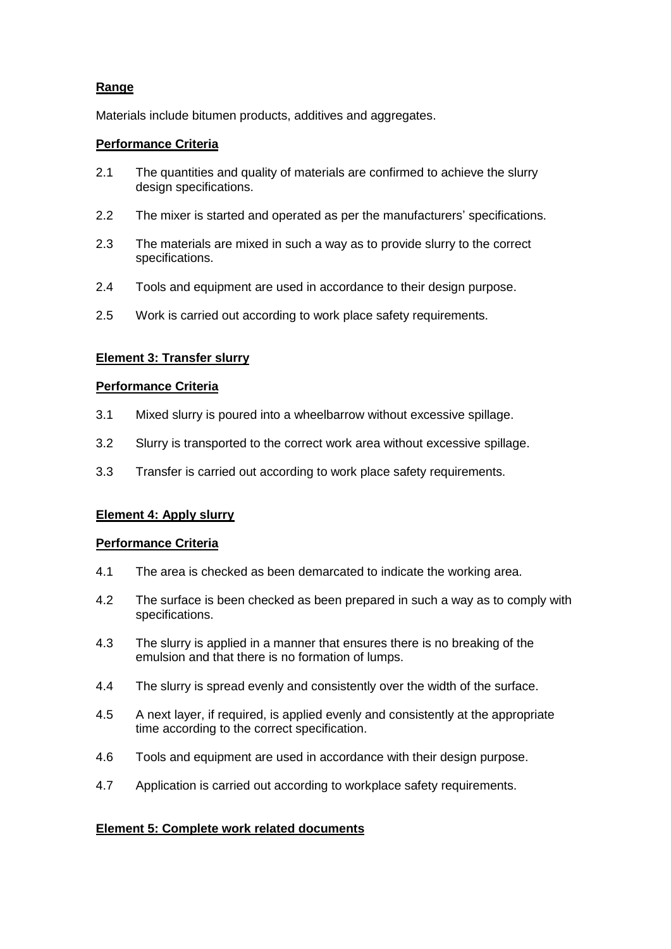# **Range**

Materials include bitumen products, additives and aggregates.

### **Performance Criteria**

- 2.1 The quantities and quality of materials are confirmed to achieve the slurry design specifications.
- 2.2 The mixer is started and operated as per the manufacturers' specifications.
- 2.3 The materials are mixed in such a way as to provide slurry to the correct specifications.
- 2.4 Tools and equipment are used in accordance to their design purpose.
- 2.5 Work is carried out according to work place safety requirements.

## **Element 3: Transfer slurry**

#### **Performance Criteria**

- 3.1 Mixed slurry is poured into a wheelbarrow without excessive spillage.
- 3.2 Slurry is transported to the correct work area without excessive spillage.
- 3.3 Transfer is carried out according to work place safety requirements.

#### **Element 4: Apply slurry**

#### **Performance Criteria**

- 4.1 The area is checked as been demarcated to indicate the working area.
- 4.2 The surface is been checked as been prepared in such a way as to comply with specifications.
- 4.3 The slurry is applied in a manner that ensures there is no breaking of the emulsion and that there is no formation of lumps.
- 4.4 The slurry is spread evenly and consistently over the width of the surface.
- 4.5 A next layer, if required, is applied evenly and consistently at the appropriate time according to the correct specification.
- 4.6 Tools and equipment are used in accordance with their design purpose.
- 4.7 Application is carried out according to workplace safety requirements.

## **Element 5: Complete work related documents**